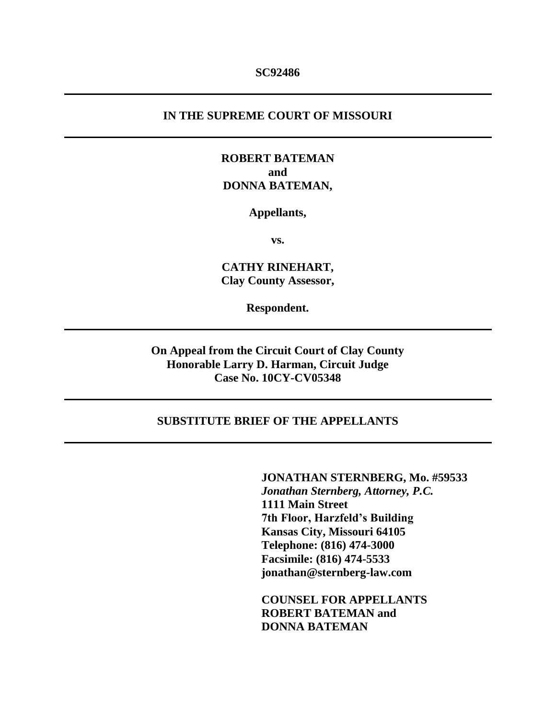### **SC92486**

## **IN THE SUPREME COURT OF MISSOURI**

## **ROBERT BATEMAN and DONNA BATEMAN,**

#### **Appellants,**

**vs.**

**CATHY RINEHART, Clay County Assessor,**

**Respondent.**

**On Appeal from the Circuit Court of Clay County Honorable Larry D. Harman, Circuit Judge Case No. 10CY-CV05348**

## **SUBSTITUTE BRIEF OF THE APPELLANTS**

**JONATHAN STERNBERG, Mo. #59533** *Jonathan Sternberg, Attorney, P.C.* **1111 Main Street 7th Floor, Harzfeld's Building Kansas City, Missouri 64105 Telephone: (816) 474-3000 Facsimile: (816) 474-5533 jonathan@sternberg-law.com**

**COUNSEL FOR APPELLANTS ROBERT BATEMAN and DONNA BATEMAN**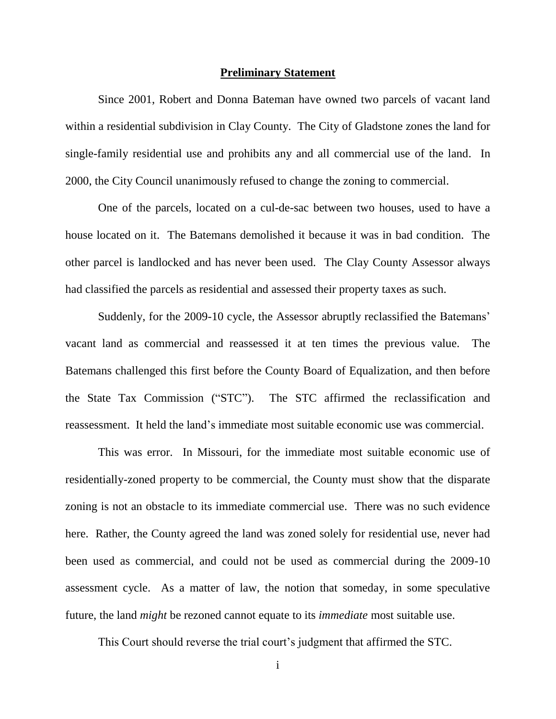#### **Preliminary Statement**

Since 2001, Robert and Donna Bateman have owned two parcels of vacant land within a residential subdivision in Clay County. The City of Gladstone zones the land for single-family residential use and prohibits any and all commercial use of the land. In 2000, the City Council unanimously refused to change the zoning to commercial.

One of the parcels, located on a cul-de-sac between two houses, used to have a house located on it. The Batemans demolished it because it was in bad condition. The other parcel is landlocked and has never been used. The Clay County Assessor always had classified the parcels as residential and assessed their property taxes as such.

Suddenly, for the 2009-10 cycle, the Assessor abruptly reclassified the Batemans' vacant land as commercial and reassessed it at ten times the previous value. The Batemans challenged this first before the County Board of Equalization, and then before the State Tax Commission ("STC"). The STC affirmed the reclassification and reassessment. It held the land's immediate most suitable economic use was commercial.

This was error. In Missouri, for the immediate most suitable economic use of residentially-zoned property to be commercial, the County must show that the disparate zoning is not an obstacle to its immediate commercial use. There was no such evidence here. Rather, the County agreed the land was zoned solely for residential use, never had been used as commercial, and could not be used as commercial during the 2009-10 assessment cycle. As a matter of law, the notion that someday, in some speculative future, the land *might* be rezoned cannot equate to its *immediate* most suitable use.

This Court should reverse the trial court's judgment that affirmed the STC.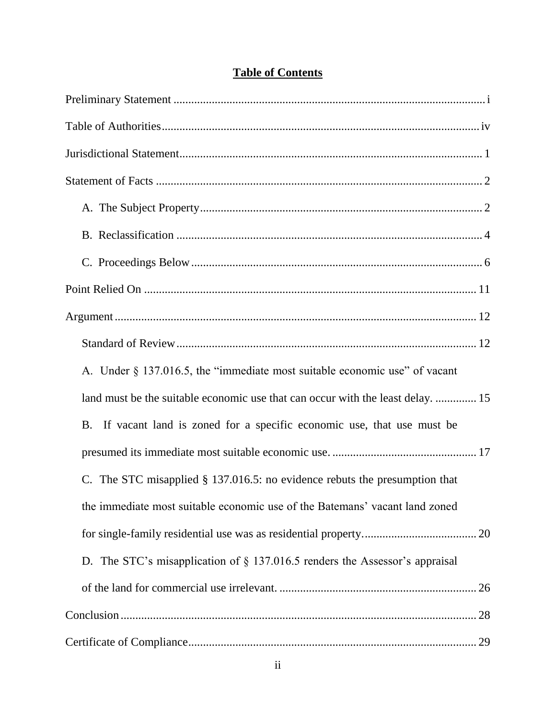| A. Under § 137.016.5, the "immediate most suitable economic use" of vacant         |
|------------------------------------------------------------------------------------|
| land must be the suitable economic use that can occur with the least delay.  15    |
| If vacant land is zoned for a specific economic use, that use must be<br><b>B.</b> |
|                                                                                    |
| C. The STC misapplied $\S$ 137.016.5: no evidence rebuts the presumption that      |
| the immediate most suitable economic use of the Batemans' vacant land zoned        |
|                                                                                    |
| D. The STC's misapplication of $\S$ 137.016.5 renders the Assessor's appraisal     |
|                                                                                    |
|                                                                                    |
|                                                                                    |

## **Table of Contents**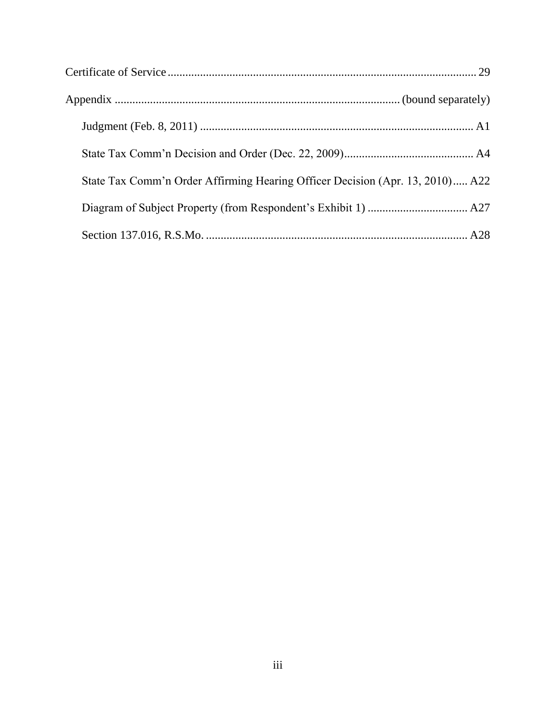| State Tax Comm'n Order Affirming Hearing Officer Decision (Apr. 13, 2010) A22 |  |
|-------------------------------------------------------------------------------|--|
|                                                                               |  |
|                                                                               |  |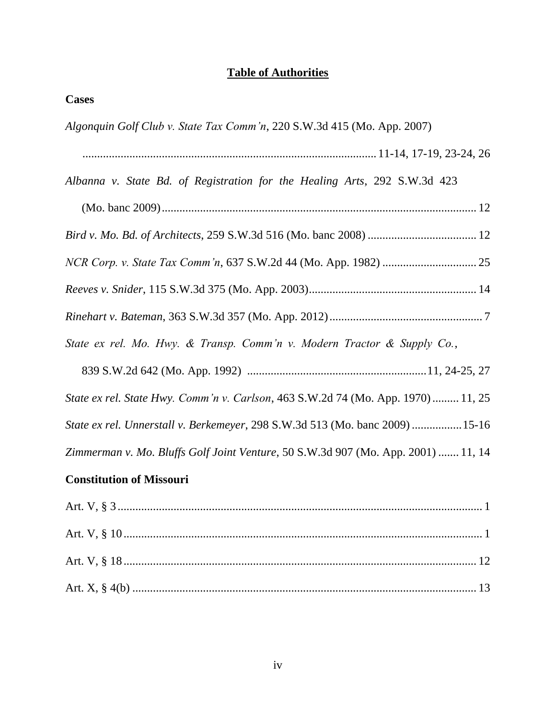## **Table of Authorities**

| . .<br>a.<br>aS-<br>×, |
|------------------------|
|------------------------|

*Algonquin Golf Club v. State Tax Comm'n*, 220 S.W.3d 415 (Mo. App. 2007)

|--|--|--|--|--|--|--|--|--|--|--|

*Albanna v. State Bd. of Registration for the Healing Arts*, 292 S.W.3d 423

*Bird v. Mo. Bd. of Architects*, 259 S.W.3d 516 (Mo. banc 2008) ..................................... 12

*NCR Corp. v. State Tax Comm'n*, 637 S.W.2d 44 (Mo. App. 1982) ................................ 25

- *Reeves v. Snider*, 115 S.W.3d 375 (Mo. App. 2003)......................................................... 14
- *Rinehart v. Bateman*, 363 S.W.3d 357 (Mo. App. 2012).................................................... 7

*State ex rel. Mo. Hwy. & Transp. Comm'n v. Modern Tractor & Supply Co.*,

839 S.W.2d 642 (Mo. App. 1992) .............................................................11, 24-25, 27

*State ex rel. State Hwy. Comm'n v. Carlson*, 463 S.W.2d 74 (Mo. App. 1970)......... 11, 25

*State ex rel. Unnerstall v. Berkemeyer*, 298 S.W.3d 513 (Mo. banc 2009) .................15-16

*Zimmerman v. Mo. Bluffs Golf Joint Venture*, 50 S.W.3d 907 (Mo. App. 2001) ....... 11, 14

## **Constitution of Missouri**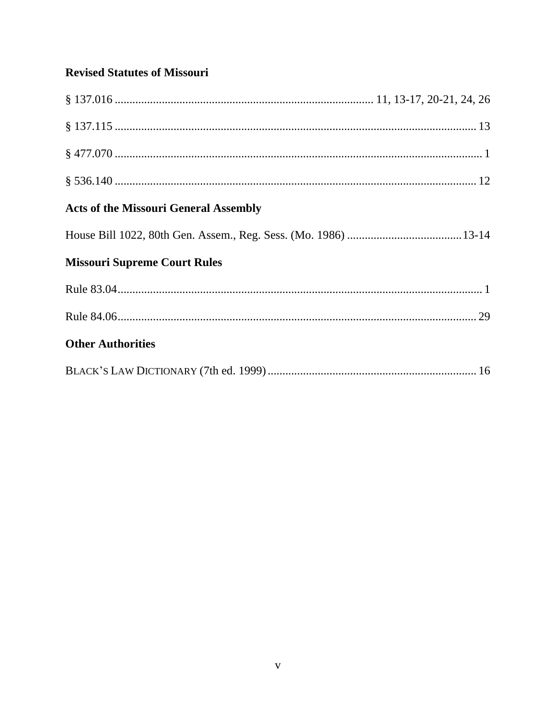## **Revised Statutes of Missouri**

| <b>Acts of the Missouri General Assembly</b> |
|----------------------------------------------|
|                                              |
| <b>Missouri Supreme Court Rules</b>          |
|                                              |
|                                              |
| <b>Other Authorities</b>                     |
|                                              |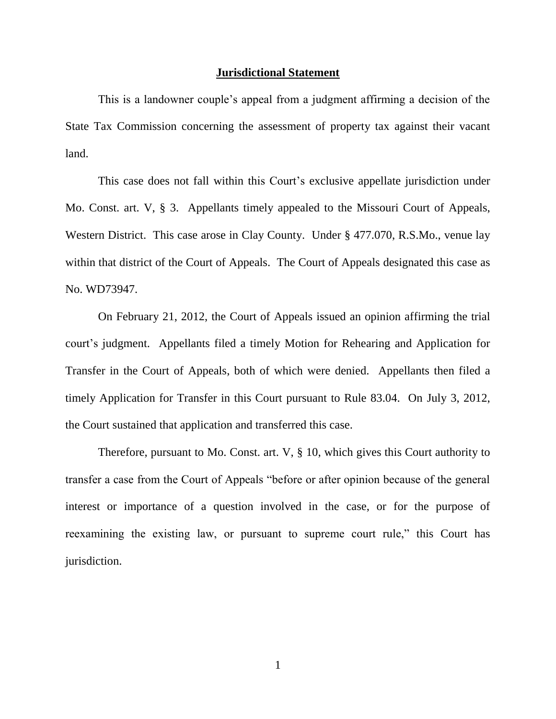#### **Jurisdictional Statement**

This is a landowner couple's appeal from a judgment affirming a decision of the State Tax Commission concerning the assessment of property tax against their vacant land.

This case does not fall within this Court's exclusive appellate jurisdiction under Mo. Const. art. V, § 3. Appellants timely appealed to the Missouri Court of Appeals, Western District. This case arose in Clay County. Under § 477.070, R.S.Mo., venue lay within that district of the Court of Appeals. The Court of Appeals designated this case as No. WD73947.

On February 21, 2012, the Court of Appeals issued an opinion affirming the trial court's judgment. Appellants filed a timely Motion for Rehearing and Application for Transfer in the Court of Appeals, both of which were denied. Appellants then filed a timely Application for Transfer in this Court pursuant to Rule 83.04. On July 3, 2012, the Court sustained that application and transferred this case.

Therefore, pursuant to Mo. Const. art. V, § 10, which gives this Court authority to transfer a case from the Court of Appeals "before or after opinion because of the general interest or importance of a question involved in the case, or for the purpose of reexamining the existing law, or pursuant to supreme court rule," this Court has jurisdiction.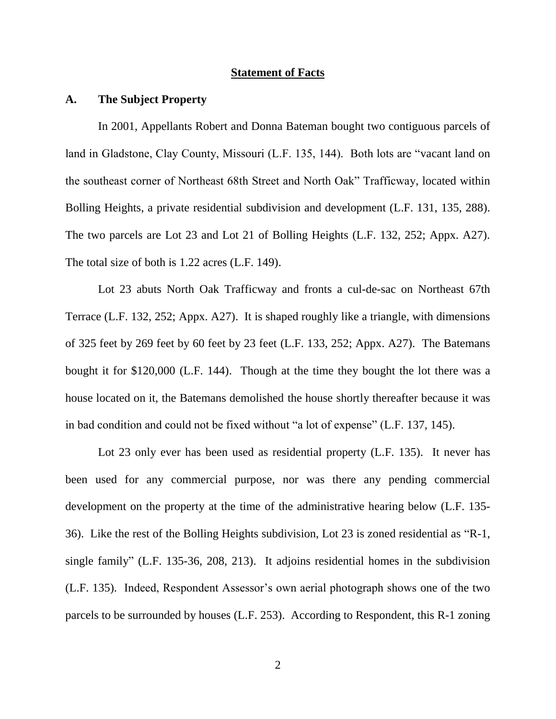#### **Statement of Facts**

### **A. The Subject Property**

In 2001, Appellants Robert and Donna Bateman bought two contiguous parcels of land in Gladstone, Clay County, Missouri (L.F. 135, 144). Both lots are "vacant land on the southeast corner of Northeast 68th Street and North Oak" Trafficway, located within Bolling Heights, a private residential subdivision and development (L.F. 131, 135, 288). The two parcels are Lot 23 and Lot 21 of Bolling Heights (L.F. 132, 252; Appx. A27). The total size of both is 1.22 acres (L.F. 149).

Lot 23 abuts North Oak Trafficway and fronts a cul-de-sac on Northeast 67th Terrace (L.F. 132, 252; Appx. A27). It is shaped roughly like a triangle, with dimensions of 325 feet by 269 feet by 60 feet by 23 feet (L.F. 133, 252; Appx. A27). The Batemans bought it for \$120,000 (L.F. 144). Though at the time they bought the lot there was a house located on it, the Batemans demolished the house shortly thereafter because it was in bad condition and could not be fixed without "a lot of expense" (L.F. 137, 145).

Lot 23 only ever has been used as residential property (L.F. 135). It never has been used for any commercial purpose, nor was there any pending commercial development on the property at the time of the administrative hearing below (L.F. 135- 36). Like the rest of the Bolling Heights subdivision, Lot 23 is zoned residential as "R-1, single family" (L.F. 135-36, 208, 213). It adjoins residential homes in the subdivision (L.F. 135). Indeed, Respondent Assessor's own aerial photograph shows one of the two parcels to be surrounded by houses (L.F. 253). According to Respondent, this R-1 zoning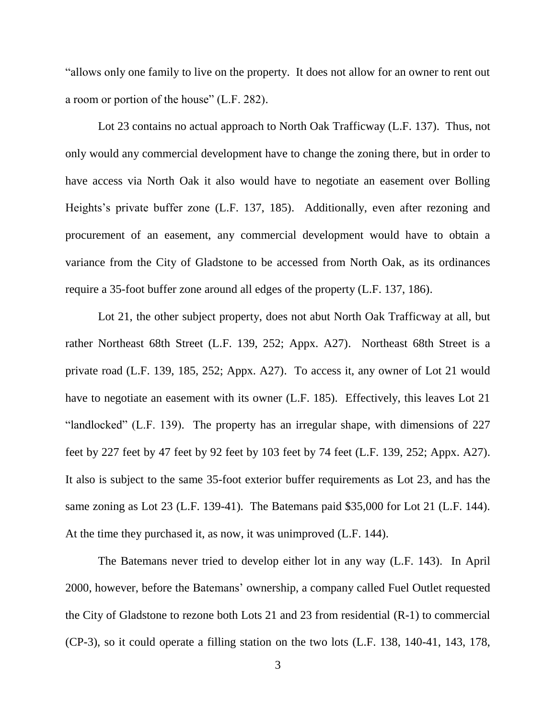"allows only one family to live on the property. It does not allow for an owner to rent out a room or portion of the house" (L.F. 282).

Lot 23 contains no actual approach to North Oak Trafficway (L.F. 137). Thus, not only would any commercial development have to change the zoning there, but in order to have access via North Oak it also would have to negotiate an easement over Bolling Heights's private buffer zone (L.F. 137, 185). Additionally, even after rezoning and procurement of an easement, any commercial development would have to obtain a variance from the City of Gladstone to be accessed from North Oak, as its ordinances require a 35-foot buffer zone around all edges of the property (L.F. 137, 186).

Lot 21, the other subject property, does not abut North Oak Trafficway at all, but rather Northeast 68th Street (L.F. 139, 252; Appx. A27). Northeast 68th Street is a private road (L.F. 139, 185, 252; Appx. A27). To access it, any owner of Lot 21 would have to negotiate an easement with its owner (L.F. 185). Effectively, this leaves Lot 21 "landlocked" (L.F. 139). The property has an irregular shape, with dimensions of 227 feet by 227 feet by 47 feet by 92 feet by 103 feet by 74 feet (L.F. 139, 252; Appx. A27). It also is subject to the same 35-foot exterior buffer requirements as Lot 23, and has the same zoning as Lot 23 (L.F. 139-41). The Batemans paid \$35,000 for Lot 21 (L.F. 144). At the time they purchased it, as now, it was unimproved (L.F. 144).

The Batemans never tried to develop either lot in any way (L.F. 143). In April 2000, however, before the Batemans' ownership, a company called Fuel Outlet requested the City of Gladstone to rezone both Lots 21 and 23 from residential (R-1) to commercial (CP-3), so it could operate a filling station on the two lots (L.F. 138, 140-41, 143, 178,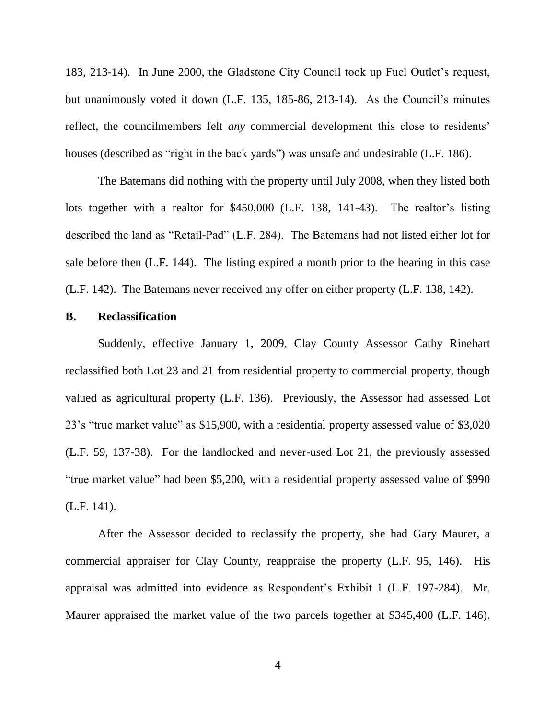183, 213-14). In June 2000, the Gladstone City Council took up Fuel Outlet's request, but unanimously voted it down (L.F. 135, 185-86, 213-14). As the Council's minutes reflect, the councilmembers felt *any* commercial development this close to residents' houses (described as "right in the back yards") was unsafe and undesirable (L.F. 186).

The Batemans did nothing with the property until July 2008, when they listed both lots together with a realtor for \$450,000 (L.F. 138, 141-43). The realtor's listing described the land as "Retail-Pad" (L.F. 284). The Batemans had not listed either lot for sale before then (L.F. 144). The listing expired a month prior to the hearing in this case (L.F. 142). The Batemans never received any offer on either property (L.F. 138, 142).

## **B. Reclassification**

Suddenly, effective January 1, 2009, Clay County Assessor Cathy Rinehart reclassified both Lot 23 and 21 from residential property to commercial property, though valued as agricultural property (L.F. 136). Previously, the Assessor had assessed Lot 23's "true market value" as \$15,900, with a residential property assessed value of \$3,020 (L.F. 59, 137-38). For the landlocked and never-used Lot 21, the previously assessed "true market value" had been \$5,200, with a residential property assessed value of \$990 (L.F. 141).

After the Assessor decided to reclassify the property, she had Gary Maurer, a commercial appraiser for Clay County, reappraise the property (L.F. 95, 146). His appraisal was admitted into evidence as Respondent's Exhibit 1 (L.F. 197-284). Mr. Maurer appraised the market value of the two parcels together at \$345,400 (L.F. 146).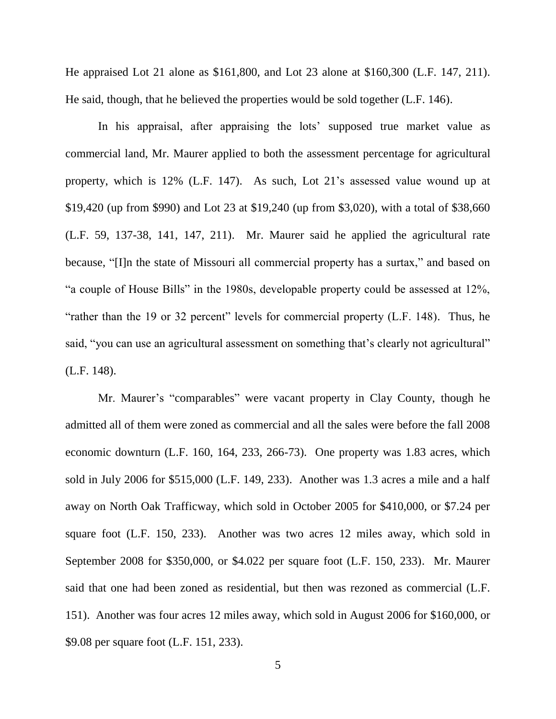He appraised Lot 21 alone as \$161,800, and Lot 23 alone at \$160,300 (L.F. 147, 211). He said, though, that he believed the properties would be sold together (L.F. 146).

In his appraisal, after appraising the lots' supposed true market value as commercial land, Mr. Maurer applied to both the assessment percentage for agricultural property, which is 12% (L.F. 147). As such, Lot 21's assessed value wound up at \$19,420 (up from \$990) and Lot 23 at \$19,240 (up from \$3,020), with a total of \$38,660 (L.F. 59, 137-38, 141, 147, 211). Mr. Maurer said he applied the agricultural rate because, "[I]n the state of Missouri all commercial property has a surtax," and based on "a couple of House Bills" in the 1980s, developable property could be assessed at 12%, "rather than the 19 or 32 percent" levels for commercial property (L.F. 148). Thus, he said, "you can use an agricultural assessment on something that's clearly not agricultural" (L.F. 148).

Mr. Maurer's "comparables" were vacant property in Clay County, though he admitted all of them were zoned as commercial and all the sales were before the fall 2008 economic downturn (L.F. 160, 164, 233, 266-73). One property was 1.83 acres, which sold in July 2006 for \$515,000 (L.F. 149, 233). Another was 1.3 acres a mile and a half away on North Oak Trafficway, which sold in October 2005 for \$410,000, or \$7.24 per square foot (L.F. 150, 233). Another was two acres 12 miles away, which sold in September 2008 for \$350,000, or \$4.022 per square foot (L.F. 150, 233). Mr. Maurer said that one had been zoned as residential, but then was rezoned as commercial (L.F. 151). Another was four acres 12 miles away, which sold in August 2006 for \$160,000, or \$9.08 per square foot (L.F. 151, 233).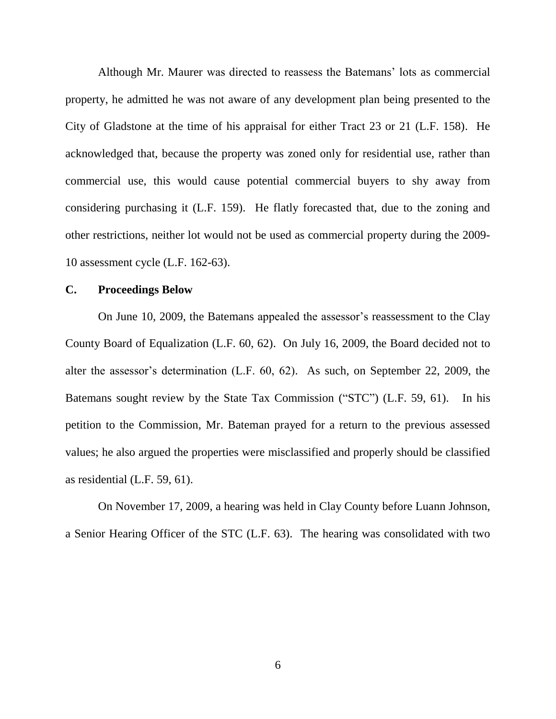Although Mr. Maurer was directed to reassess the Batemans' lots as commercial property, he admitted he was not aware of any development plan being presented to the City of Gladstone at the time of his appraisal for either Tract 23 or 21 (L.F. 158). He acknowledged that, because the property was zoned only for residential use, rather than commercial use, this would cause potential commercial buyers to shy away from considering purchasing it (L.F. 159). He flatly forecasted that, due to the zoning and other restrictions, neither lot would not be used as commercial property during the 2009- 10 assessment cycle (L.F. 162-63).

#### **C. Proceedings Below**

On June 10, 2009, the Batemans appealed the assessor's reassessment to the Clay County Board of Equalization (L.F. 60, 62). On July 16, 2009, the Board decided not to alter the assessor's determination (L.F. 60, 62). As such, on September 22, 2009, the Batemans sought review by the State Tax Commission ("STC") (L.F. 59, 61). In his petition to the Commission, Mr. Bateman prayed for a return to the previous assessed values; he also argued the properties were misclassified and properly should be classified as residential (L.F. 59, 61).

On November 17, 2009, a hearing was held in Clay County before Luann Johnson, a Senior Hearing Officer of the STC (L.F. 63). The hearing was consolidated with two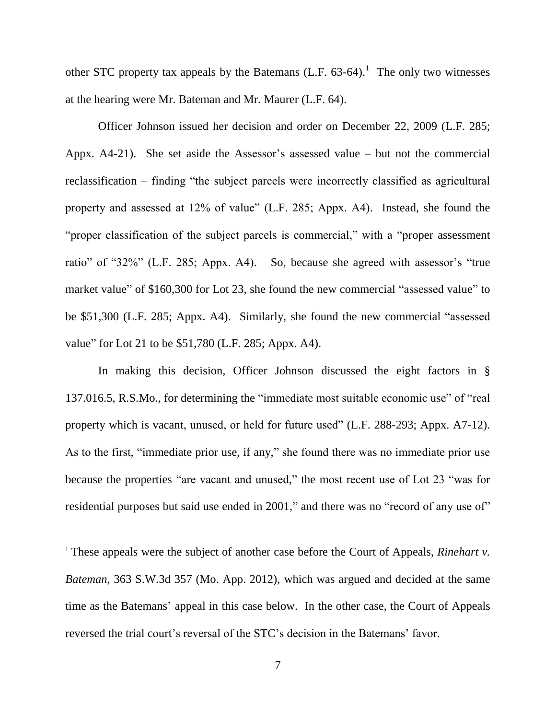other STC property tax appeals by the Batemans  $(L.F. 63-64).$ <sup>1</sup> The only two witnesses at the hearing were Mr. Bateman and Mr. Maurer (L.F. 64).

Officer Johnson issued her decision and order on December 22, 2009 (L.F. 285; Appx. A4-21). She set aside the Assessor's assessed value – but not the commercial reclassification – finding "the subject parcels were incorrectly classified as agricultural property and assessed at 12% of value" (L.F. 285; Appx. A4). Instead, she found the "proper classification of the subject parcels is commercial," with a "proper assessment ratio" of "32%" (L.F. 285; Appx. A4). So, because she agreed with assessor's "true market value" of \$160,300 for Lot 23, she found the new commercial "assessed value" to be \$51,300 (L.F. 285; Appx. A4). Similarly, she found the new commercial "assessed value" for Lot 21 to be \$51,780 (L.F. 285; Appx. A4).

In making this decision, Officer Johnson discussed the eight factors in § 137.016.5, R.S.Mo., for determining the "immediate most suitable economic use" of "real property which is vacant, unused, or held for future used" (L.F. 288-293; Appx. A7-12). As to the first, "immediate prior use, if any," she found there was no immediate prior use because the properties "are vacant and unused," the most recent use of Lot 23 "was for residential purposes but said use ended in 2001," and there was no "record of any use of"

 $\overline{a}$ 

<sup>&</sup>lt;sup>1</sup> These appeals were the subject of another case before the Court of Appeals, *Rinehart v. Bateman*, 363 S.W.3d 357 (Mo. App. 2012), which was argued and decided at the same time as the Batemans' appeal in this case below. In the other case, the Court of Appeals reversed the trial court's reversal of the STC's decision in the Batemans' favor.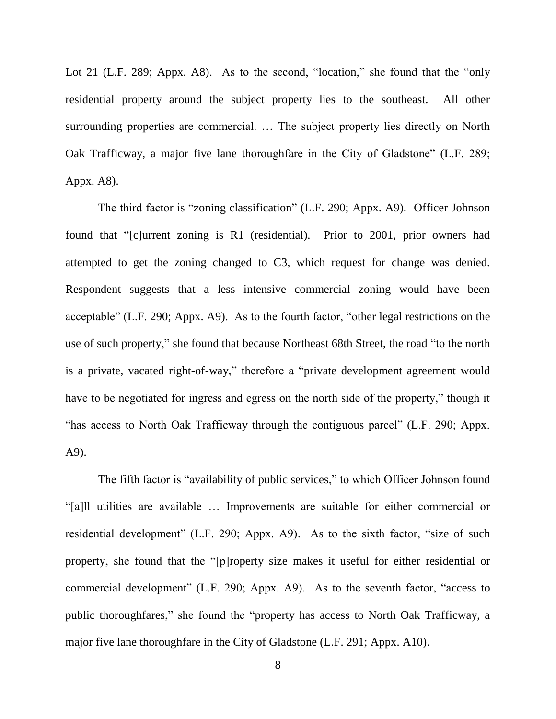Lot 21 (L.F. 289; Appx. A8). As to the second, "location," she found that the "only residential property around the subject property lies to the southeast. All other surrounding properties are commercial. … The subject property lies directly on North Oak Trafficway, a major five lane thoroughfare in the City of Gladstone" (L.F. 289; Appx. A8).

The third factor is "zoning classification" (L.F. 290; Appx. A9). Officer Johnson found that "[c]urrent zoning is R1 (residential). Prior to 2001, prior owners had attempted to get the zoning changed to C3, which request for change was denied. Respondent suggests that a less intensive commercial zoning would have been acceptable" (L.F. 290; Appx. A9). As to the fourth factor, "other legal restrictions on the use of such property," she found that because Northeast 68th Street, the road "to the north is a private, vacated right-of-way," therefore a "private development agreement would have to be negotiated for ingress and egress on the north side of the property," though it "has access to North Oak Trafficway through the contiguous parcel" (L.F. 290; Appx. A9).

The fifth factor is "availability of public services," to which Officer Johnson found "[a]ll utilities are available … Improvements are suitable for either commercial or residential development" (L.F. 290; Appx. A9). As to the sixth factor, "size of such property, she found that the "[p]roperty size makes it useful for either residential or commercial development" (L.F. 290; Appx. A9). As to the seventh factor, "access to public thoroughfares," she found the "property has access to North Oak Trafficway, a major five lane thoroughfare in the City of Gladstone (L.F. 291; Appx. A10).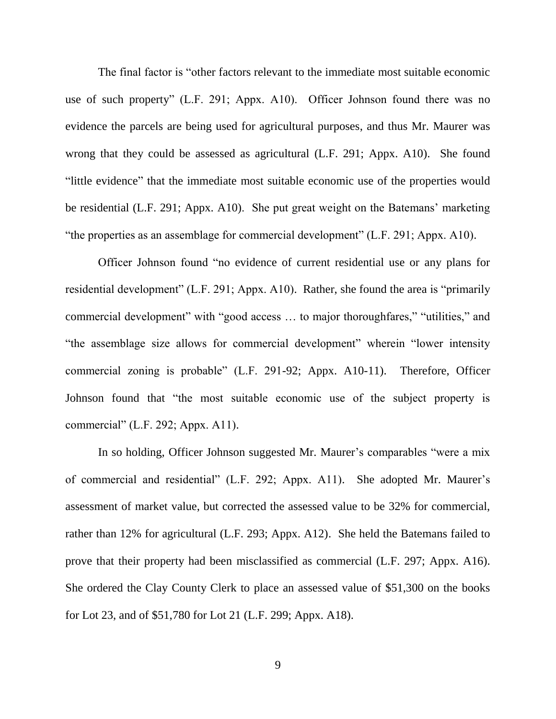The final factor is "other factors relevant to the immediate most suitable economic use of such property" (L.F. 291; Appx. A10). Officer Johnson found there was no evidence the parcels are being used for agricultural purposes, and thus Mr. Maurer was wrong that they could be assessed as agricultural (L.F. 291; Appx. A10). She found "little evidence" that the immediate most suitable economic use of the properties would be residential (L.F. 291; Appx. A10). She put great weight on the Batemans' marketing "the properties as an assemblage for commercial development" (L.F. 291; Appx. A10).

Officer Johnson found "no evidence of current residential use or any plans for residential development" (L.F. 291; Appx. A10). Rather, she found the area is "primarily commercial development" with "good access … to major thoroughfares," "utilities," and "the assemblage size allows for commercial development" wherein "lower intensity commercial zoning is probable" (L.F. 291-92; Appx. A10-11). Therefore, Officer Johnson found that "the most suitable economic use of the subject property is commercial" (L.F. 292; Appx. A11).

In so holding, Officer Johnson suggested Mr. Maurer's comparables "were a mix of commercial and residential" (L.F. 292; Appx. A11). She adopted Mr. Maurer's assessment of market value, but corrected the assessed value to be 32% for commercial, rather than 12% for agricultural (L.F. 293; Appx. A12). She held the Batemans failed to prove that their property had been misclassified as commercial (L.F. 297; Appx. A16). She ordered the Clay County Clerk to place an assessed value of \$51,300 on the books for Lot 23, and of \$51,780 for Lot 21 (L.F. 299; Appx. A18).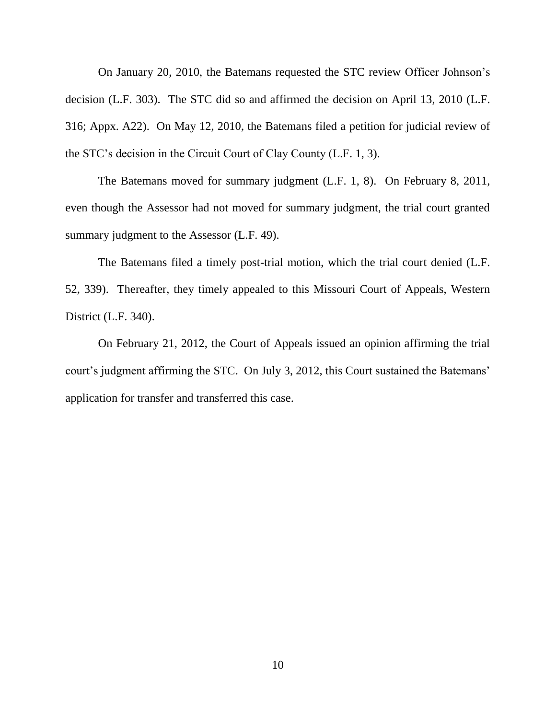On January 20, 2010, the Batemans requested the STC review Officer Johnson's decision (L.F. 303). The STC did so and affirmed the decision on April 13, 2010 (L.F. 316; Appx. A22). On May 12, 2010, the Batemans filed a petition for judicial review of the STC's decision in the Circuit Court of Clay County (L.F. 1, 3).

The Batemans moved for summary judgment (L.F. 1, 8). On February 8, 2011, even though the Assessor had not moved for summary judgment, the trial court granted summary judgment to the Assessor (L.F. 49).

The Batemans filed a timely post-trial motion, which the trial court denied (L.F. 52, 339). Thereafter, they timely appealed to this Missouri Court of Appeals, Western District (L.F. 340).

On February 21, 2012, the Court of Appeals issued an opinion affirming the trial court's judgment affirming the STC. On July 3, 2012, this Court sustained the Batemans' application for transfer and transferred this case.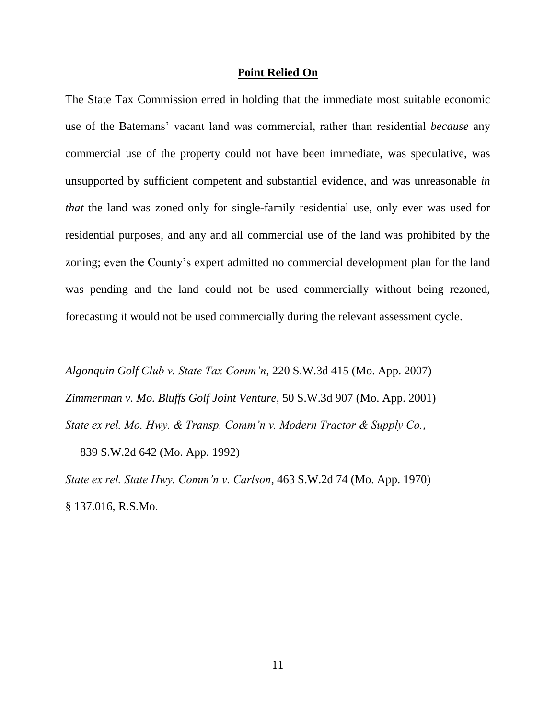#### **Point Relied On**

The State Tax Commission erred in holding that the immediate most suitable economic use of the Batemans' vacant land was commercial, rather than residential *because* any commercial use of the property could not have been immediate, was speculative, was unsupported by sufficient competent and substantial evidence, and was unreasonable *in that* the land was zoned only for single-family residential use, only ever was used for residential purposes, and any and all commercial use of the land was prohibited by the zoning; even the County's expert admitted no commercial development plan for the land was pending and the land could not be used commercially without being rezoned, forecasting it would not be used commercially during the relevant assessment cycle.

*Algonquin Golf Club v. State Tax Comm'n*, 220 S.W.3d 415 (Mo. App. 2007) *Zimmerman v. Mo. Bluffs Golf Joint Venture*, 50 S.W.3d 907 (Mo. App. 2001) *State ex rel. Mo. Hwy. & Transp. Comm'n v. Modern Tractor & Supply Co.*,

839 S.W.2d 642 (Mo. App. 1992)

*State ex rel. State Hwy. Comm'n v. Carlson*, 463 S.W.2d 74 (Mo. App. 1970) § 137.016, R.S.Mo.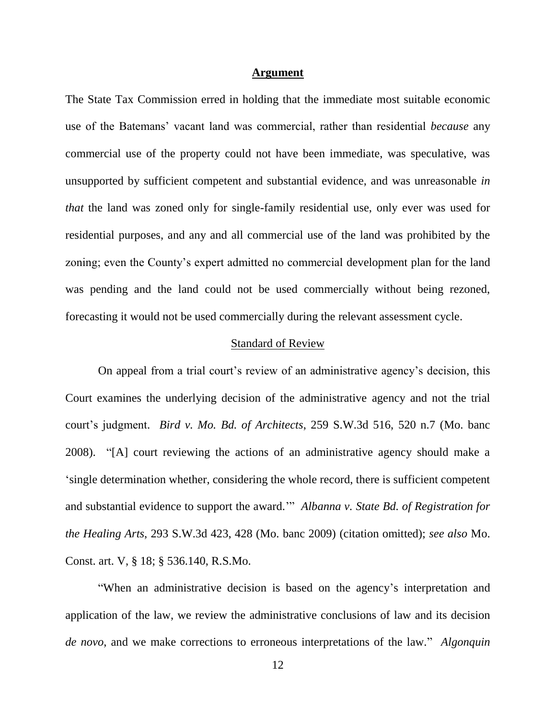#### **Argument**

The State Tax Commission erred in holding that the immediate most suitable economic use of the Batemans' vacant land was commercial, rather than residential *because* any commercial use of the property could not have been immediate, was speculative, was unsupported by sufficient competent and substantial evidence, and was unreasonable *in that* the land was zoned only for single-family residential use, only ever was used for residential purposes, and any and all commercial use of the land was prohibited by the zoning; even the County's expert admitted no commercial development plan for the land was pending and the land could not be used commercially without being rezoned, forecasting it would not be used commercially during the relevant assessment cycle.

#### Standard of Review

On appeal from a trial court's review of an administrative agency's decision, this Court examines the underlying decision of the administrative agency and not the trial court's judgment. *Bird v. Mo. Bd. of Architects*, 259 S.W.3d 516, 520 n.7 (Mo. banc 2008). "[A] court reviewing the actions of an administrative agency should make a 'single determination whether, considering the whole record, there is sufficient competent and substantial evidence to support the award.'" *Albanna v. State Bd. of Registration for the Healing Arts*, 293 S.W.3d 423, 428 (Mo. banc 2009) (citation omitted); *see also* Mo. Const. art. V, § 18; § 536.140, R.S.Mo.

"When an administrative decision is based on the agency's interpretation and application of the law, we review the administrative conclusions of law and its decision *de novo*, and we make corrections to erroneous interpretations of the law." *Algonquin*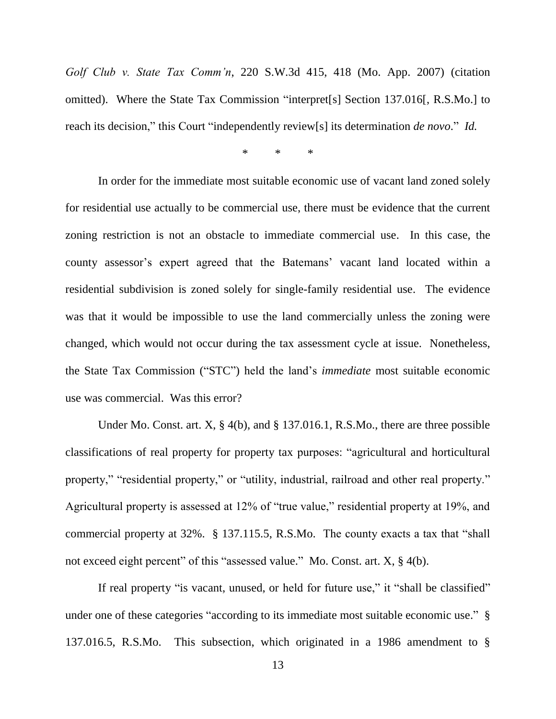*Golf Club v. State Tax Comm'n*, 220 S.W.3d 415, 418 (Mo. App. 2007) (citation omitted). Where the State Tax Commission "interpret[s] Section 137.016[, R.S.Mo.] to reach its decision," this Court "independently review[s] its determination *de novo*." *Id.*

\* \* \*

In order for the immediate most suitable economic use of vacant land zoned solely for residential use actually to be commercial use, there must be evidence that the current zoning restriction is not an obstacle to immediate commercial use. In this case, the county assessor's expert agreed that the Batemans' vacant land located within a residential subdivision is zoned solely for single-family residential use. The evidence was that it would be impossible to use the land commercially unless the zoning were changed, which would not occur during the tax assessment cycle at issue. Nonetheless, the State Tax Commission ("STC") held the land's *immediate* most suitable economic use was commercial. Was this error?

Under Mo. Const. art. X, § 4(b), and § 137.016.1, R.S.Mo., there are three possible classifications of real property for property tax purposes: "agricultural and horticultural property," "residential property," or "utility, industrial, railroad and other real property." Agricultural property is assessed at 12% of "true value," residential property at 19%, and commercial property at 32%. § 137.115.5, R.S.Mo. The county exacts a tax that "shall not exceed eight percent" of this "assessed value." Mo. Const. art. X, § 4(b).

If real property "is vacant, unused, or held for future use," it "shall be classified" under one of these categories "according to its immediate most suitable economic use." § 137.016.5, R.S.Mo. This subsection, which originated in a 1986 amendment to §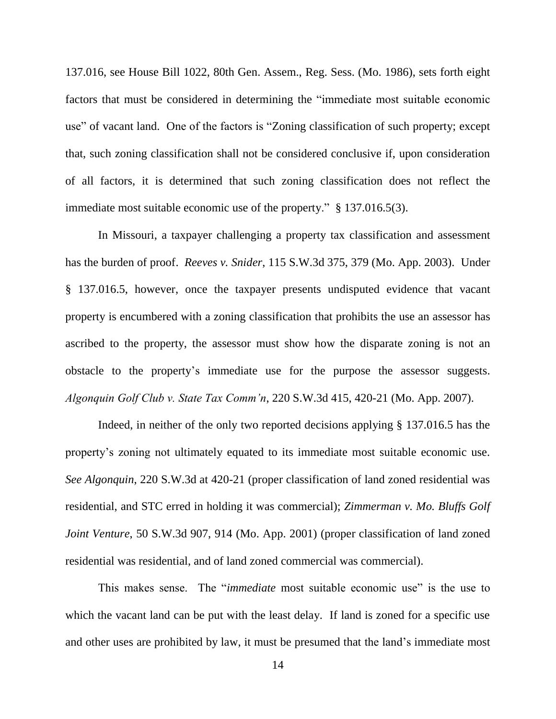137.016, see House Bill 1022, 80th Gen. Assem., Reg. Sess. (Mo. 1986), sets forth eight factors that must be considered in determining the "immediate most suitable economic use" of vacant land. One of the factors is "Zoning classification of such property; except that, such zoning classification shall not be considered conclusive if, upon consideration of all factors, it is determined that such zoning classification does not reflect the immediate most suitable economic use of the property." § 137.016.5(3).

In Missouri, a taxpayer challenging a property tax classification and assessment has the burden of proof. *Reeves v. Snider*, 115 S.W.3d 375, 379 (Mo. App. 2003). Under § 137.016.5, however, once the taxpayer presents undisputed evidence that vacant property is encumbered with a zoning classification that prohibits the use an assessor has ascribed to the property, the assessor must show how the disparate zoning is not an obstacle to the property's immediate use for the purpose the assessor suggests. *Algonquin Golf Club v. State Tax Comm'n*, 220 S.W.3d 415, 420-21 (Mo. App. 2007).

Indeed, in neither of the only two reported decisions applying § 137.016.5 has the property's zoning not ultimately equated to its immediate most suitable economic use. *See Algonquin*, 220 S.W.3d at 420-21 (proper classification of land zoned residential was residential, and STC erred in holding it was commercial); *Zimmerman v. Mo. Bluffs Golf Joint Venture*, 50 S.W.3d 907, 914 (Mo. App. 2001) (proper classification of land zoned residential was residential, and of land zoned commercial was commercial).

This makes sense. The "*immediate* most suitable economic use" is the use to which the vacant land can be put with the least delay. If land is zoned for a specific use and other uses are prohibited by law, it must be presumed that the land's immediate most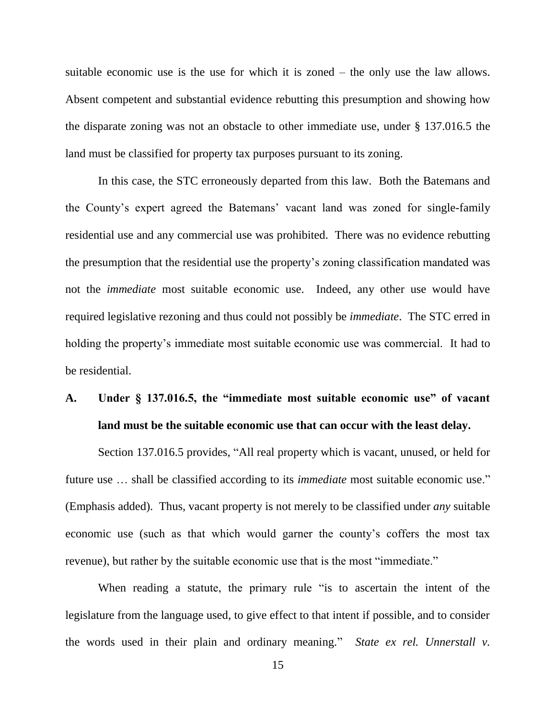suitable economic use is the use for which it is zoned – the only use the law allows. Absent competent and substantial evidence rebutting this presumption and showing how the disparate zoning was not an obstacle to other immediate use, under § 137.016.5 the land must be classified for property tax purposes pursuant to its zoning.

In this case, the STC erroneously departed from this law. Both the Batemans and the County's expert agreed the Batemans' vacant land was zoned for single-family residential use and any commercial use was prohibited. There was no evidence rebutting the presumption that the residential use the property's zoning classification mandated was not the *immediate* most suitable economic use. Indeed, any other use would have required legislative rezoning and thus could not possibly be *immediate*. The STC erred in holding the property's immediate most suitable economic use was commercial. It had to be residential.

# **A. Under § 137.016.5, the "immediate most suitable economic use" of vacant land must be the suitable economic use that can occur with the least delay.**

Section 137.016.5 provides, "All real property which is vacant, unused, or held for future use … shall be classified according to its *immediate* most suitable economic use." (Emphasis added). Thus, vacant property is not merely to be classified under *any* suitable economic use (such as that which would garner the county's coffers the most tax revenue), but rather by the suitable economic use that is the most "immediate."

When reading a statute, the primary rule "is to ascertain the intent of the legislature from the language used, to give effect to that intent if possible, and to consider the words used in their plain and ordinary meaning." *State ex rel. Unnerstall v.*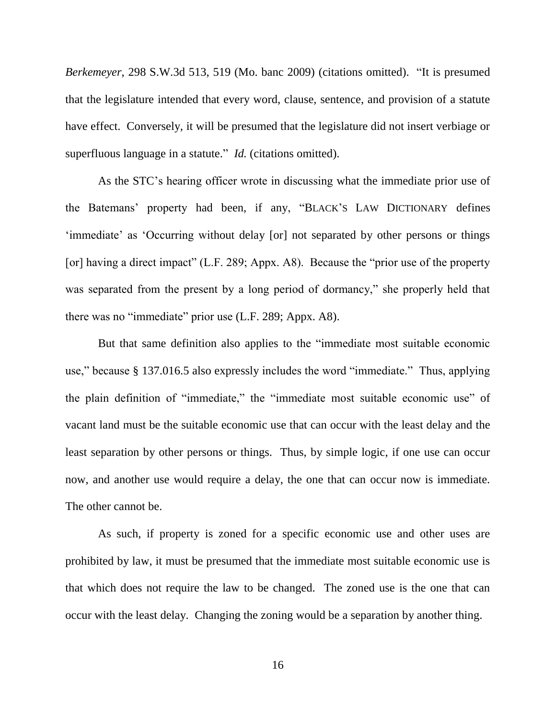*Berkemeyer*, 298 S.W.3d 513, 519 (Mo. banc 2009) (citations omitted). "It is presumed that the legislature intended that every word, clause, sentence, and provision of a statute have effect. Conversely, it will be presumed that the legislature did not insert verbiage or superfluous language in a statute." *Id.* (citations omitted).

As the STC's hearing officer wrote in discussing what the immediate prior use of the Batemans' property had been, if any, "BLACK'S LAW DICTIONARY defines 'immediate' as 'Occurring without delay [or] not separated by other persons or things [or] having a direct impact" (L.F. 289; Appx. A8). Because the "prior use of the property was separated from the present by a long period of dormancy," she properly held that there was no "immediate" prior use (L.F. 289; Appx. A8).

But that same definition also applies to the "immediate most suitable economic use," because § 137.016.5 also expressly includes the word "immediate." Thus, applying the plain definition of "immediate," the "immediate most suitable economic use" of vacant land must be the suitable economic use that can occur with the least delay and the least separation by other persons or things. Thus, by simple logic, if one use can occur now, and another use would require a delay, the one that can occur now is immediate. The other cannot be.

As such, if property is zoned for a specific economic use and other uses are prohibited by law, it must be presumed that the immediate most suitable economic use is that which does not require the law to be changed. The zoned use is the one that can occur with the least delay. Changing the zoning would be a separation by another thing.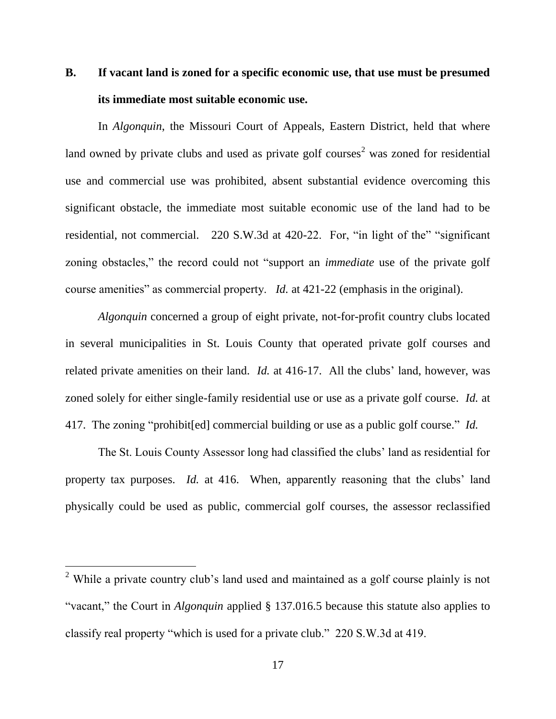# **B. If vacant land is zoned for a specific economic use, that use must be presumed its immediate most suitable economic use.**

In *Algonquin*, the Missouri Court of Appeals, Eastern District, held that where land owned by private clubs and used as private golf courses<sup>2</sup> was zoned for residential use and commercial use was prohibited, absent substantial evidence overcoming this significant obstacle, the immediate most suitable economic use of the land had to be residential, not commercial. 220 S.W.3d at 420-22. For, "in light of the" "significant zoning obstacles," the record could not "support an *immediate* use of the private golf course amenities" as commercial property. *Id.* at 421-22 (emphasis in the original).

*Algonquin* concerned a group of eight private, not-for-profit country clubs located in several municipalities in St. Louis County that operated private golf courses and related private amenities on their land. *Id.* at 416-17. All the clubs' land, however, was zoned solely for either single-family residential use or use as a private golf course. *Id.* at 417. The zoning "prohibit[ed] commercial building or use as a public golf course." *Id.*

The St. Louis County Assessor long had classified the clubs' land as residential for property tax purposes. *Id.* at 416. When, apparently reasoning that the clubs' land physically could be used as public, commercial golf courses, the assessor reclassified

l

<sup>&</sup>lt;sup>2</sup> While a private country club's land used and maintained as a golf course plainly is not "vacant," the Court in *Algonquin* applied § 137.016.5 because this statute also applies to classify real property "which is used for a private club." 220 S.W.3d at 419.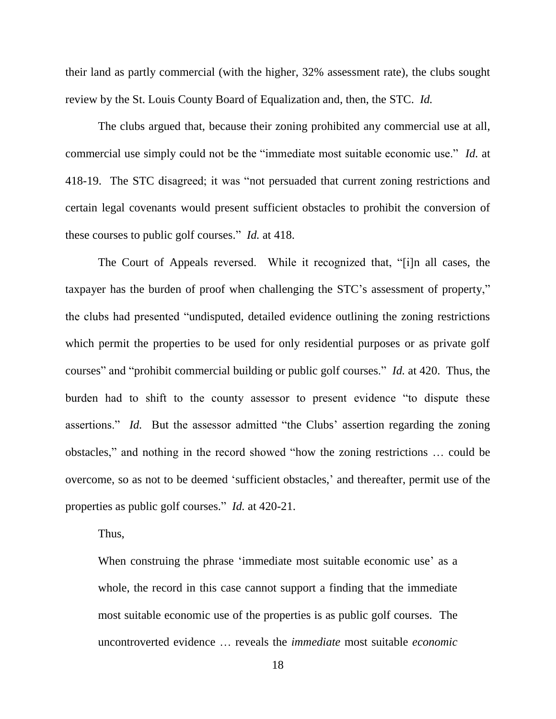their land as partly commercial (with the higher, 32% assessment rate), the clubs sought review by the St. Louis County Board of Equalization and, then, the STC. *Id.*

The clubs argued that, because their zoning prohibited any commercial use at all, commercial use simply could not be the "immediate most suitable economic use." *Id.* at 418-19. The STC disagreed; it was "not persuaded that current zoning restrictions and certain legal covenants would present sufficient obstacles to prohibit the conversion of these courses to public golf courses." *Id.* at 418.

The Court of Appeals reversed. While it recognized that, "[i]n all cases, the taxpayer has the burden of proof when challenging the STC's assessment of property," the clubs had presented "undisputed, detailed evidence outlining the zoning restrictions which permit the properties to be used for only residential purposes or as private golf courses" and "prohibit commercial building or public golf courses." *Id.* at 420. Thus, the burden had to shift to the county assessor to present evidence "to dispute these assertions." *Id.* But the assessor admitted "the Clubs' assertion regarding the zoning obstacles," and nothing in the record showed "how the zoning restrictions … could be overcome, so as not to be deemed 'sufficient obstacles,' and thereafter, permit use of the properties as public golf courses." *Id.* at 420-21.

Thus,

When construing the phrase 'immediate most suitable economic use' as a whole, the record in this case cannot support a finding that the immediate most suitable economic use of the properties is as public golf courses. The uncontroverted evidence … reveals the *immediate* most suitable *economic*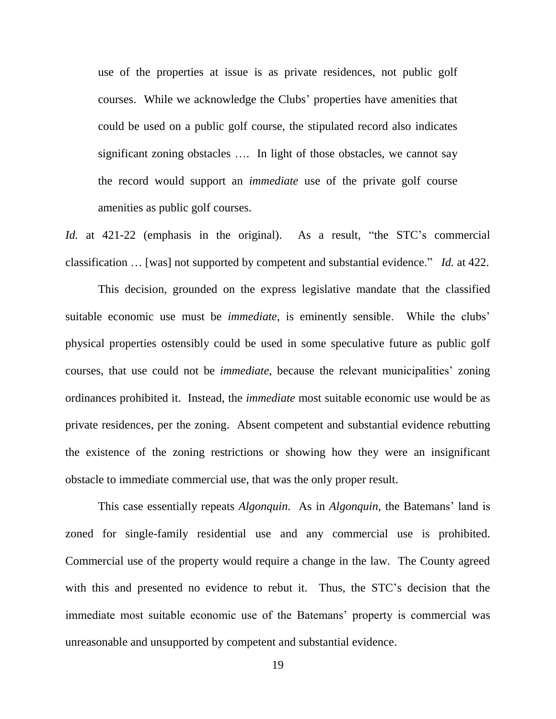use of the properties at issue is as private residences, not public golf courses. While we acknowledge the Clubs' properties have amenities that could be used on a public golf course, the stipulated record also indicates significant zoning obstacles …. In light of those obstacles, we cannot say the record would support an *immediate* use of the private golf course amenities as public golf courses.

*Id.* at 421-22 (emphasis in the original). As a result, "the STC's commercial classification … [was] not supported by competent and substantial evidence." *Id.* at 422.

This decision, grounded on the express legislative mandate that the classified suitable economic use must be *immediate*, is eminently sensible. While the clubs' physical properties ostensibly could be used in some speculative future as public golf courses, that use could not be *immediate*, because the relevant municipalities' zoning ordinances prohibited it. Instead, the *immediate* most suitable economic use would be as private residences, per the zoning. Absent competent and substantial evidence rebutting the existence of the zoning restrictions or showing how they were an insignificant obstacle to immediate commercial use, that was the only proper result.

This case essentially repeats *Algonquin*. As in *Algonquin*, the Batemans' land is zoned for single-family residential use and any commercial use is prohibited. Commercial use of the property would require a change in the law. The County agreed with this and presented no evidence to rebut it. Thus, the STC's decision that the immediate most suitable economic use of the Batemans' property is commercial was unreasonable and unsupported by competent and substantial evidence.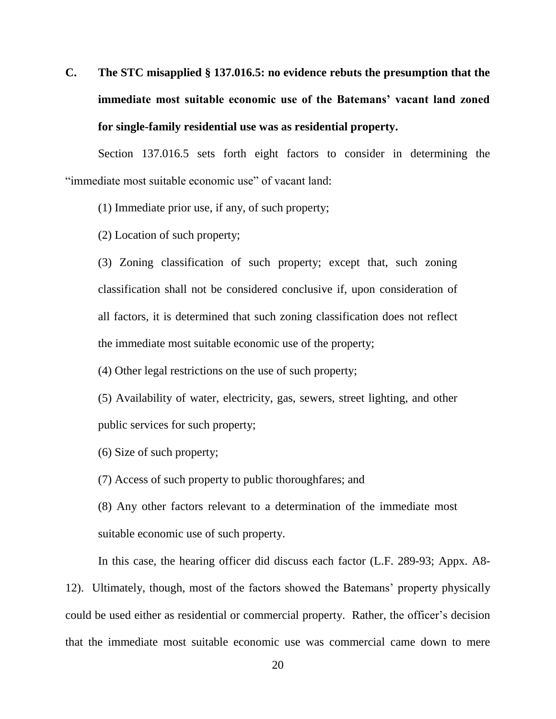# **C. The STC misapplied § 137.016.5: no evidence rebuts the presumption that the immediate most suitable economic use of the Batemans' vacant land zoned for single-family residential use was as residential property.**

Section 137.016.5 sets forth eight factors to consider in determining the "immediate most suitable economic use" of vacant land:

(1) Immediate prior use, if any, of such property;

(2) Location of such property;

(3) Zoning classification of such property; except that, such zoning classification shall not be considered conclusive if, upon consideration of all factors, it is determined that such zoning classification does not reflect the immediate most suitable economic use of the property;

(4) Other legal restrictions on the use of such property;

(5) Availability of water, electricity, gas, sewers, street lighting, and other public services for such property;

(6) Size of such property;

(7) Access of such property to public thoroughfares; and

(8) Any other factors relevant to a determination of the immediate most suitable economic use of such property.

In this case, the hearing officer did discuss each factor (L.F. 289-93; Appx. A8-

12). Ultimately, though, most of the factors showed the Batemans' property physically could be used either as residential or commercial property. Rather, the officer's decision that the immediate most suitable economic use was commercial came down to mere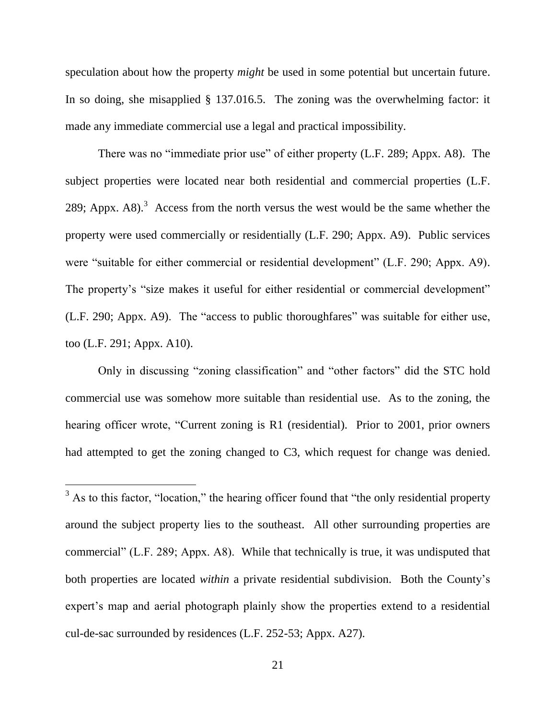speculation about how the property *might* be used in some potential but uncertain future. In so doing, she misapplied § 137.016.5. The zoning was the overwhelming factor: it made any immediate commercial use a legal and practical impossibility.

There was no "immediate prior use" of either property (L.F. 289; Appx. A8). The subject properties were located near both residential and commercial properties (L.F. 289; Appx. A8 $1$ <sup>3</sup> Access from the north versus the west would be the same whether the property were used commercially or residentially (L.F. 290; Appx. A9). Public services were "suitable for either commercial or residential development" (L.F. 290; Appx. A9). The property's "size makes it useful for either residential or commercial development" (L.F. 290; Appx. A9). The "access to public thoroughfares" was suitable for either use, too (L.F. 291; Appx. A10).

Only in discussing "zoning classification" and "other factors" did the STC hold commercial use was somehow more suitable than residential use. As to the zoning, the hearing officer wrote, "Current zoning is R1 (residential). Prior to 2001, prior owners had attempted to get the zoning changed to C3, which request for change was denied.

l

 $3$  As to this factor, "location," the hearing officer found that "the only residential property around the subject property lies to the southeast. All other surrounding properties are commercial" (L.F. 289; Appx. A8). While that technically is true, it was undisputed that both properties are located *within* a private residential subdivision. Both the County's expert's map and aerial photograph plainly show the properties extend to a residential cul-de-sac surrounded by residences (L.F. 252-53; Appx. A27).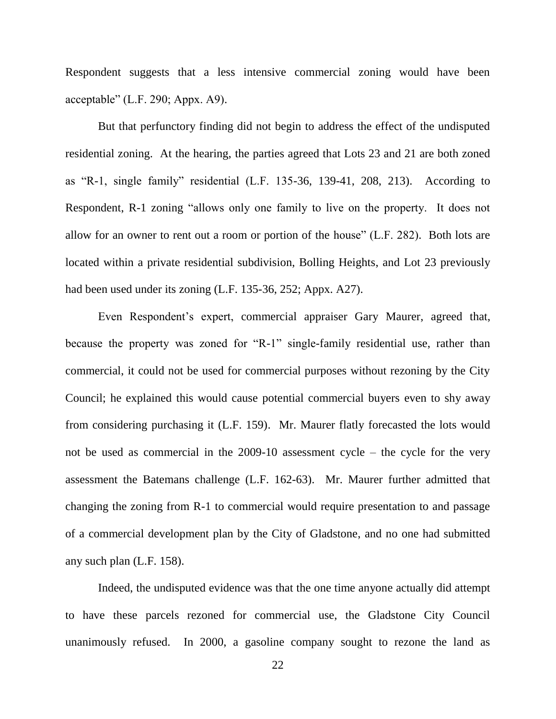Respondent suggests that a less intensive commercial zoning would have been acceptable" (L.F. 290; Appx. A9).

But that perfunctory finding did not begin to address the effect of the undisputed residential zoning. At the hearing, the parties agreed that Lots 23 and 21 are both zoned as "R-1, single family" residential (L.F. 135-36, 139-41, 208, 213). According to Respondent, R-1 zoning "allows only one family to live on the property. It does not allow for an owner to rent out a room or portion of the house" (L.F. 282). Both lots are located within a private residential subdivision, Bolling Heights, and Lot 23 previously had been used under its zoning (L.F. 135-36, 252; Appx. A27).

Even Respondent's expert, commercial appraiser Gary Maurer, agreed that, because the property was zoned for "R-1" single-family residential use, rather than commercial, it could not be used for commercial purposes without rezoning by the City Council; he explained this would cause potential commercial buyers even to shy away from considering purchasing it (L.F. 159). Mr. Maurer flatly forecasted the lots would not be used as commercial in the 2009-10 assessment cycle – the cycle for the very assessment the Batemans challenge (L.F. 162-63). Mr. Maurer further admitted that changing the zoning from R-1 to commercial would require presentation to and passage of a commercial development plan by the City of Gladstone, and no one had submitted any such plan (L.F. 158).

Indeed, the undisputed evidence was that the one time anyone actually did attempt to have these parcels rezoned for commercial use, the Gladstone City Council unanimously refused. In 2000, a gasoline company sought to rezone the land as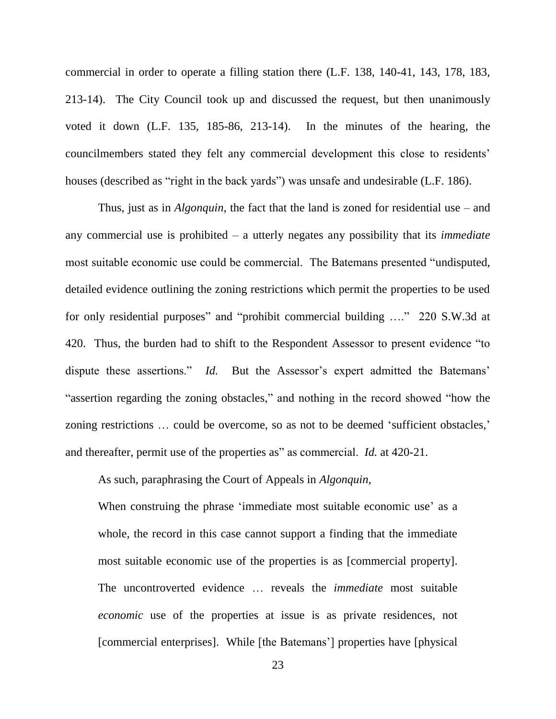commercial in order to operate a filling station there (L.F. 138, 140-41, 143, 178, 183, 213-14). The City Council took up and discussed the request, but then unanimously voted it down (L.F. 135, 185-86, 213-14). In the minutes of the hearing, the councilmembers stated they felt any commercial development this close to residents' houses (described as "right in the back yards") was unsafe and undesirable (L.F. 186).

Thus, just as in *Algonquin*, the fact that the land is zoned for residential use – and any commercial use is prohibited – a utterly negates any possibility that its *immediate* most suitable economic use could be commercial. The Batemans presented "undisputed, detailed evidence outlining the zoning restrictions which permit the properties to be used for only residential purposes" and "prohibit commercial building …." 220 S.W.3d at 420. Thus, the burden had to shift to the Respondent Assessor to present evidence "to dispute these assertions." *Id.* But the Assessor's expert admitted the Batemans' "assertion regarding the zoning obstacles," and nothing in the record showed "how the zoning restrictions … could be overcome, so as not to be deemed 'sufficient obstacles,' and thereafter, permit use of the properties as" as commercial. *Id.* at 420-21.

As such, paraphrasing the Court of Appeals in *Algonquin*,

When construing the phrase 'immediate most suitable economic use' as a whole, the record in this case cannot support a finding that the immediate most suitable economic use of the properties is as [commercial property]. The uncontroverted evidence … reveals the *immediate* most suitable *economic* use of the properties at issue is as private residences, not [commercial enterprises]. While [the Batemans'] properties have [physical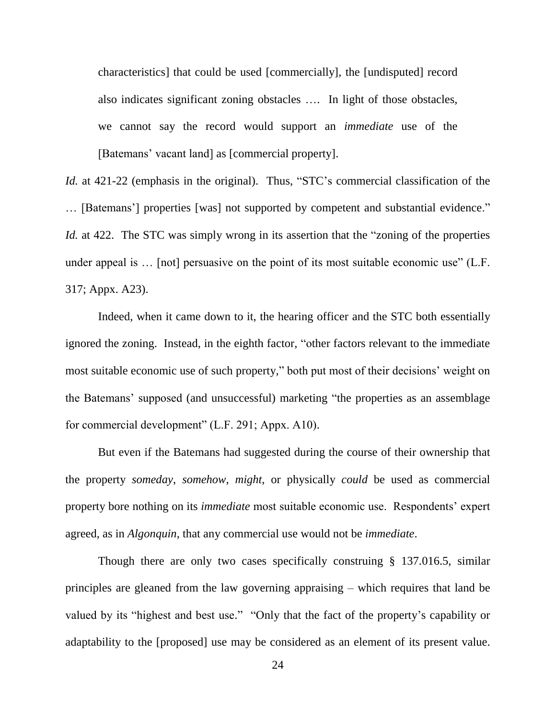characteristics] that could be used [commercially], the [undisputed] record also indicates significant zoning obstacles …. In light of those obstacles, we cannot say the record would support an *immediate* use of the [Batemans' vacant land] as [commercial property].

*Id.* at 421-22 (emphasis in the original). Thus, "STC's commercial classification of the … [Batemans'] properties [was] not supported by competent and substantial evidence." *Id.* at 422. The STC was simply wrong in its assertion that the "zoning of the properties" under appeal is ... [not] persuasive on the point of its most suitable economic use" (L.F. 317; Appx. A23).

Indeed, when it came down to it, the hearing officer and the STC both essentially ignored the zoning. Instead, in the eighth factor, "other factors relevant to the immediate most suitable economic use of such property," both put most of their decisions' weight on the Batemans' supposed (and unsuccessful) marketing "the properties as an assemblage for commercial development" (L.F. 291; Appx. A10).

But even if the Batemans had suggested during the course of their ownership that the property *someday*, *somehow*, *might*, or physically *could* be used as commercial property bore nothing on its *immediate* most suitable economic use. Respondents' expert agreed, as in *Algonquin*, that any commercial use would not be *immediate*.

Though there are only two cases specifically construing § 137.016.5, similar principles are gleaned from the law governing appraising – which requires that land be valued by its "highest and best use." "Only that the fact of the property's capability or adaptability to the [proposed] use may be considered as an element of its present value.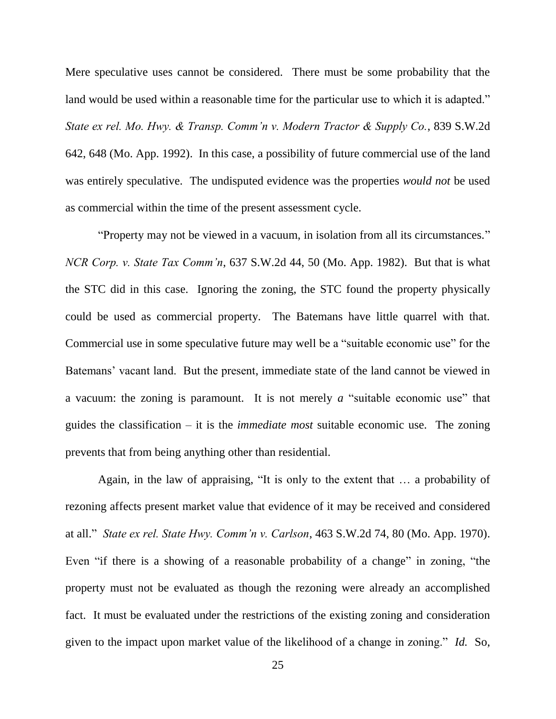Mere speculative uses cannot be considered. There must be some probability that the land would be used within a reasonable time for the particular use to which it is adapted." *State ex rel. Mo. Hwy. & Transp. Comm'n v. Modern Tractor & Supply Co.*, 839 S.W.2d 642, 648 (Mo. App. 1992). In this case, a possibility of future commercial use of the land was entirely speculative. The undisputed evidence was the properties *would not* be used as commercial within the time of the present assessment cycle.

"Property may not be viewed in a vacuum, in isolation from all its circumstances." *NCR Corp. v. State Tax Comm'n*, 637 S.W.2d 44, 50 (Mo. App. 1982). But that is what the STC did in this case. Ignoring the zoning, the STC found the property physically could be used as commercial property. The Batemans have little quarrel with that. Commercial use in some speculative future may well be a "suitable economic use" for the Batemans' vacant land. But the present, immediate state of the land cannot be viewed in a vacuum: the zoning is paramount. It is not merely *a* "suitable economic use" that guides the classification – it is the *immediate most* suitable economic use. The zoning prevents that from being anything other than residential.

Again, in the law of appraising, "It is only to the extent that … a probability of rezoning affects present market value that evidence of it may be received and considered at all." *State ex rel. State Hwy. Comm'n v. Carlson*, 463 S.W.2d 74, 80 (Mo. App. 1970). Even "if there is a showing of a reasonable probability of a change" in zoning, "the property must not be evaluated as though the rezoning were already an accomplished fact. It must be evaluated under the restrictions of the existing zoning and consideration given to the impact upon market value of the likelihood of a change in zoning." *Id.* So,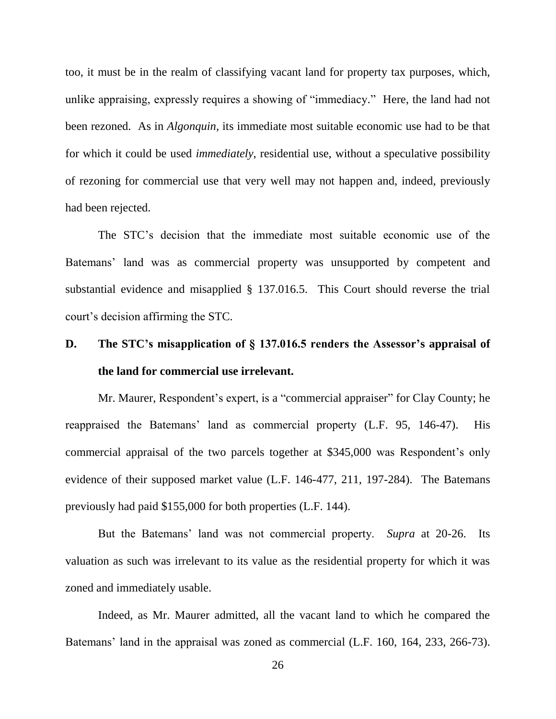too, it must be in the realm of classifying vacant land for property tax purposes, which, unlike appraising, expressly requires a showing of "immediacy." Here, the land had not been rezoned. As in *Algonquin*, its immediate most suitable economic use had to be that for which it could be used *immediately*, residential use, without a speculative possibility of rezoning for commercial use that very well may not happen and, indeed, previously had been rejected.

The STC's decision that the immediate most suitable economic use of the Batemans' land was as commercial property was unsupported by competent and substantial evidence and misapplied § 137.016.5. This Court should reverse the trial court's decision affirming the STC.

# **D. The STC's misapplication of § 137.016.5 renders the Assessor's appraisal of the land for commercial use irrelevant.**

Mr. Maurer, Respondent's expert, is a "commercial appraiser" for Clay County; he reappraised the Batemans' land as commercial property (L.F. 95, 146-47). His commercial appraisal of the two parcels together at \$345,000 was Respondent's only evidence of their supposed market value (L.F. 146-477, 211, 197-284). The Batemans previously had paid \$155,000 for both properties (L.F. 144).

But the Batemans' land was not commercial property. *Supra* at 20-26. Its valuation as such was irrelevant to its value as the residential property for which it was zoned and immediately usable.

Indeed, as Mr. Maurer admitted, all the vacant land to which he compared the Batemans' land in the appraisal was zoned as commercial (L.F. 160, 164, 233, 266-73).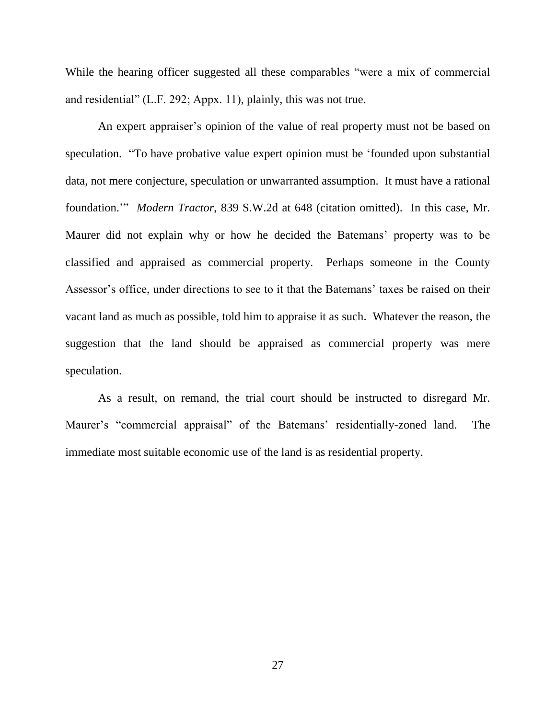While the hearing officer suggested all these comparables "were a mix of commercial and residential" (L.F. 292; Appx. 11), plainly, this was not true.

An expert appraiser's opinion of the value of real property must not be based on speculation. "To have probative value expert opinion must be 'founded upon substantial data, not mere conjecture, speculation or unwarranted assumption. It must have a rational foundation.'" *Modern Tractor*, 839 S.W.2d at 648 (citation omitted). In this case, Mr. Maurer did not explain why or how he decided the Batemans' property was to be classified and appraised as commercial property. Perhaps someone in the County Assessor's office, under directions to see to it that the Batemans' taxes be raised on their vacant land as much as possible, told him to appraise it as such. Whatever the reason, the suggestion that the land should be appraised as commercial property was mere speculation.

As a result, on remand, the trial court should be instructed to disregard Mr. Maurer's "commercial appraisal" of the Batemans' residentially-zoned land. The immediate most suitable economic use of the land is as residential property.

27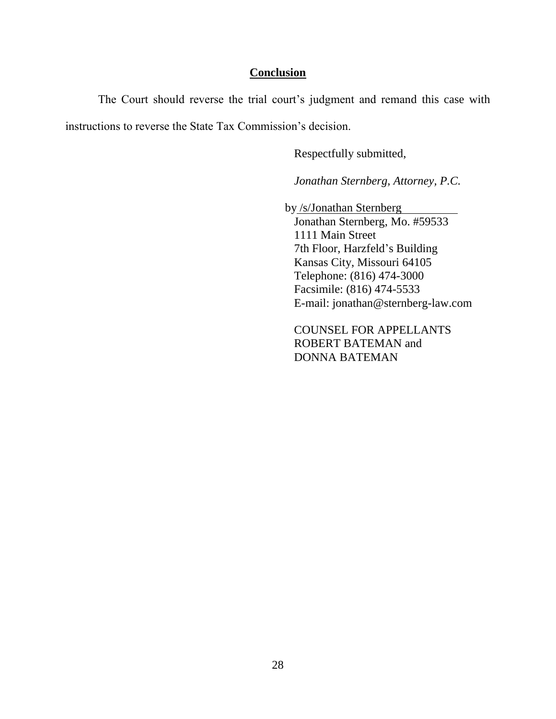## **Conclusion**

The Court should reverse the trial court's judgment and remand this case with instructions to reverse the State Tax Commission's decision.

Respectfully submitted,

*Jonathan Sternberg, Attorney, P.C.*

by /s/Jonathan Sternberg

Jonathan Sternberg, Mo. #59533 1111 Main Street 7th Floor, Harzfeld's Building Kansas City, Missouri 64105 Telephone: (816) 474-3000 Facsimile: (816) 474-5533 E-mail: jonathan@sternberg-law.com

COUNSEL FOR APPELLANTS ROBERT BATEMAN and DONNA BATEMAN